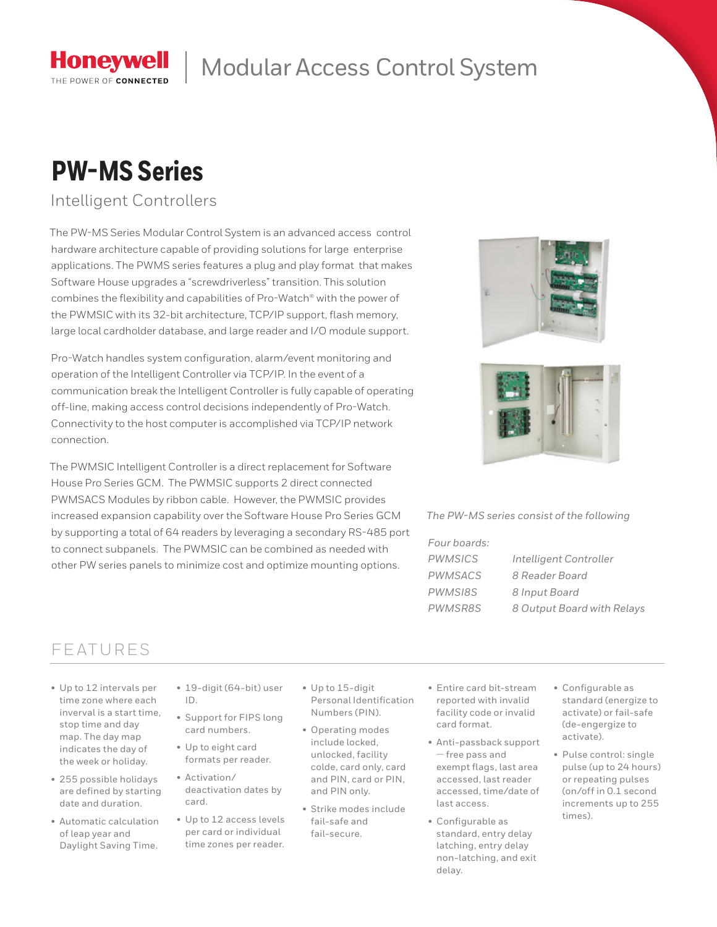

## Modular Access Control System

# **PW-MS Series**

Intelligent Controllers

The PW-MS Series Modular Control System is an advanced access control hardware architecture capable of providing solutions for large enterprise applications. The PWMS series features a plug and play format that makes Software House upgrades a "screwdriverless" transition. This solution combines the flexibility and capabilities of Pro-Watch® with the power of the PWMSIC with its 32-bit architecture, TCP/IP support, flash memory, large local cardholder database, and large reader and I/O module support.

Pro-Watch handles system configuration, alarm/event monitoring and operation of the Intelligent Controller via TCP/IP. In the event of a communication break the Intelligent Controller is fully capable of operating off-line, making access control decisions independently of Pro-Watch. Connectivity to the host computer is accomplished via TCP/IP network connection.

The PWMSIC Intelligent Controller is a direct replacement for Software House Pro Series GCM. The PWMSIC supports 2 direct connected PWMSACS Modules by ribbon cable. However, the PWMSIC provides increased expansion capability over the Software House Pro Series GCM by supporting a total of 64 readers by leveraging a secondary RS-485 port to connect subpanels. The PWMSIC can be combined as needed with other PW series panels to minimize cost and optimize mounting options.





#### *The PW-MS series consist of the following*

| Four boards: |                            |
|--------------|----------------------------|
| PWMSICS      | Intelligent Controller     |
| PWMSACS      | 8 Reader Board             |
| PWMSI8S      | 8 Input Board              |
| PWMSR8S      | 8 Output Board with Relays |
|              |                            |

### FEATURES

- Up to 12 intervals per time zone where each inverval is a start time, stop time and day map. The day map indicates the day of the week or holiday.
- 255 possible holidays are defined by starting date and duration.
- Automatic calculation of leap year and Daylight Saving Time.
- 19-digit (64-bit) user ID.
- Support for FIPS long card numbers.
- Up to eight card formats per reader.
- Activation/ deactivation dates by card.
- Up to 12 access levels per card or individual time zones per reader.
- Up to 15-digit Personal Identification Numbers (PIN).
- Operating modes include locked, unlocked, facility colde, card only, card and PIN, card or PIN, and PIN only.
- Strike modes include fail-safe and fail-secure.
- Entire card bit-stream reported with invalid facility code or invalid card format.
- Anti-passback support — free pass and exempt flags, last area accessed, last reader accessed, time/date of last access.
- Configurable as standard, entry delay latching, entry delay non-latching, and exit delay.
- Configurable as standard (energize to activate) or fail-safe (de-engergize to activate).
- Pulse control: single pulse (up to 24 hours) or repeating pulses (on/off in 0.1 second increments up to 255 times).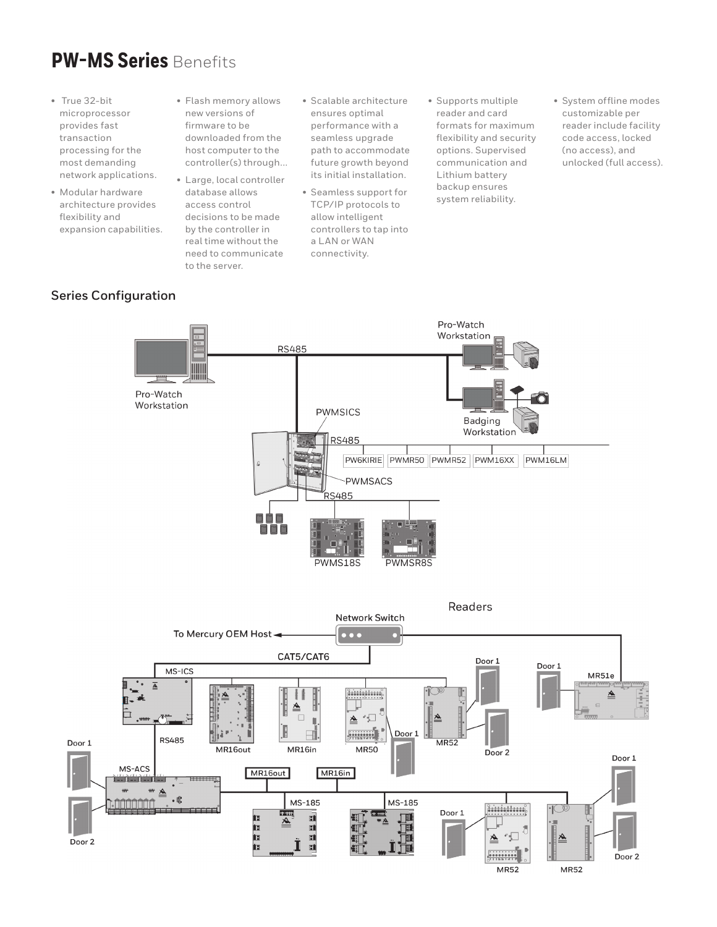### **PW-MS Series** Benefits

- True 32-bit microprocessor provides fast transaction processing for the most demanding network applications.
- Modular hardware architecture provides flexibility and expansion capabilities.
- Flash memory allows new versions of firmware to be downloaded from the host computer to the controller(s) through...
- Large, local controller database allows access control decisions to be made by the controller in real time without the need to communicate to the server.
- Scalable architecture ensures optimal performance with a seamless upgrade path to accommodate future growth beyond its initial installation.
- Seamless support for TCP/IP protocols to allow intelligent controllers to tap into a LAN or WAN connectivity.
- Supports multiple reader and card formats for maximum flexibility and security options. Supervised communication and Lithium battery backup ensures system reliability.
- System offline modes customizable per reader include facility code access, locked (no access), and unlocked (full access).

#### **Series Configuration**

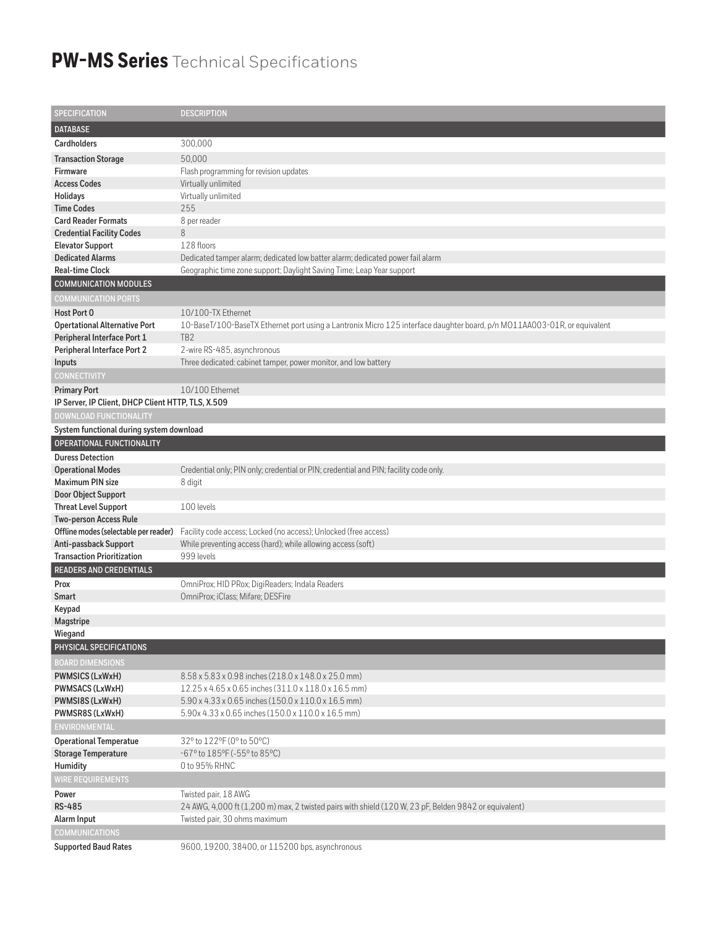### **PW-MS Series** Technical Specifications

| <b>SPECIFICATION</b>                                                   | <b>DESCRIPTION</b>                                                                                                       |
|------------------------------------------------------------------------|--------------------------------------------------------------------------------------------------------------------------|
| <b>DATABASE</b>                                                        |                                                                                                                          |
| <b>Cardholders</b>                                                     | 300,000                                                                                                                  |
| <b>Transaction Storage</b>                                             | 50,000                                                                                                                   |
| <b>Firmware</b>                                                        | Flash programming for revision updates                                                                                   |
| <b>Access Codes</b>                                                    | Virtually unlimited                                                                                                      |
| Holidays                                                               | Virtually unlimited                                                                                                      |
| <b>Time Codes</b>                                                      | 255                                                                                                                      |
| <b>Card Reader Formats</b>                                             | 8 per reader                                                                                                             |
| <b>Credential Facility Codes</b>                                       | 8                                                                                                                        |
| <b>Elevator Support</b>                                                | 128 floors                                                                                                               |
| <b>Dedicated Alarms</b>                                                | Dedicated tamper alarm; dedicated low batter alarm; dedicated power fail alarm                                           |
| <b>Real-time Clock</b>                                                 | Geographic time zone support; Daylight Saving Time; Leap Year support                                                    |
| <b>COMMUNICATION MODULES</b>                                           |                                                                                                                          |
| <b>COMMUNICATION PORTS</b>                                             |                                                                                                                          |
| Host Port 0                                                            | 10/100-TX Ethernet                                                                                                       |
| <b>Opertational Alternative Port</b>                                   | 10-BaseT/100-BaseTX Ethernet port using a Lantronix Micro 125 interface daughter board, p/n MO11AA003-01R, or equivalent |
| Peripheral Interface Port 1                                            | TB <sub>2</sub>                                                                                                          |
| Peripheral Interface Port 2                                            | 2-wire RS-485, asynchronous                                                                                              |
| <b>Inputs</b>                                                          | Three dedicated: cabinet tamper, power monitor, and low battery                                                          |
| <b>CONNECTIVITY</b>                                                    |                                                                                                                          |
| <b>Primary Port</b>                                                    | 10/100 Ethernet                                                                                                          |
| IP Server, IP Client, DHCP Client HTTP, TLS, X.509                     |                                                                                                                          |
| <b>DOWNLOAD FUNCTIONALITY</b>                                          |                                                                                                                          |
| System functional during system download                               |                                                                                                                          |
| OPERATIONAL FUNCTIONALITY                                              |                                                                                                                          |
| <b>Duress Detection</b>                                                |                                                                                                                          |
| <b>Operational Modes</b>                                               | Credential only; PIN only; credential or PIN; credential and PIN; facility code only.                                    |
| <b>Maximum PIN size</b>                                                | 8 digit                                                                                                                  |
| Door Object Support                                                    |                                                                                                                          |
| <b>Threat Level Support</b>                                            | 100 levels                                                                                                               |
| <b>Two-person Access Rule</b><br>Offline modes (selectable per reader) | Facility code access; Locked (no access); Unlocked (free access)                                                         |
| Anti-passback Support                                                  | While preventing access (hard); while allowing access (soft)                                                             |
| <b>Transaction Prioritization</b>                                      | 999 levels                                                                                                               |
| <b>READERS AND CREDENTIALS</b>                                         |                                                                                                                          |
| Prox                                                                   | OmniProx; HID PRox; DigiReaders; Indala Readers                                                                          |
| Smart                                                                  | OmniProx; iClass; Mifare; DESFire                                                                                        |
| Keypad                                                                 |                                                                                                                          |
| <b>Magstripe</b>                                                       |                                                                                                                          |
| Wiegand                                                                |                                                                                                                          |
| PHYSICAL SPECIFICATIONS                                                |                                                                                                                          |
| <b>BOARD DIMENSIONS</b>                                                |                                                                                                                          |
| <b>PWMSICS (LxWxH)</b>                                                 | 8.58 x 5.83 x 0.98 inches (218.0 x 148.0 x 25.0 mm)                                                                      |
| PWMSACS (LxWxH)                                                        | 12.25 x 4.65 x 0.65 inches (311.0 x 118.0 x 16.5 mm)                                                                     |
| PWMSI8S (LxWxH)                                                        | 5.90 x 4.33 x 0.65 inches (150.0 x 110.0 x 16.5 mm)                                                                      |
| PWMSR8S (LxWxH)                                                        | 5.90x 4.33 x 0.65 inches (150.0 x 110.0 x 16.5 mm)                                                                       |
| <b>ENVIRONMENTAL</b>                                                   |                                                                                                                          |
| <b>Operational Temperatue</b>                                          | 32° to 122°F (0° to 50°C)                                                                                                |
| <b>Storage Temperature</b>                                             | -67° to 185°F (-55° to 85°C)                                                                                             |
| Humidity                                                               | 0 to 95% RHNC                                                                                                            |
| <b>WIRE REQUIREMENTS</b>                                               |                                                                                                                          |
| Power                                                                  | Twisted pair, 18 AWG                                                                                                     |
| RS-485                                                                 | 24 AWG, 4,000 ft (1,200 m) max, 2 twisted pairs with shield (120 W, 23 pF, Belden 9842 or equivalent)                    |
| Alarm Input                                                            | Twisted pair, 30 ohms maximum                                                                                            |
| <b>COMMUNICATIONS</b>                                                  |                                                                                                                          |
| <b>Supported Baud Rates</b>                                            | 9600, 19200, 38400, or 115200 bps, asynchronous                                                                          |